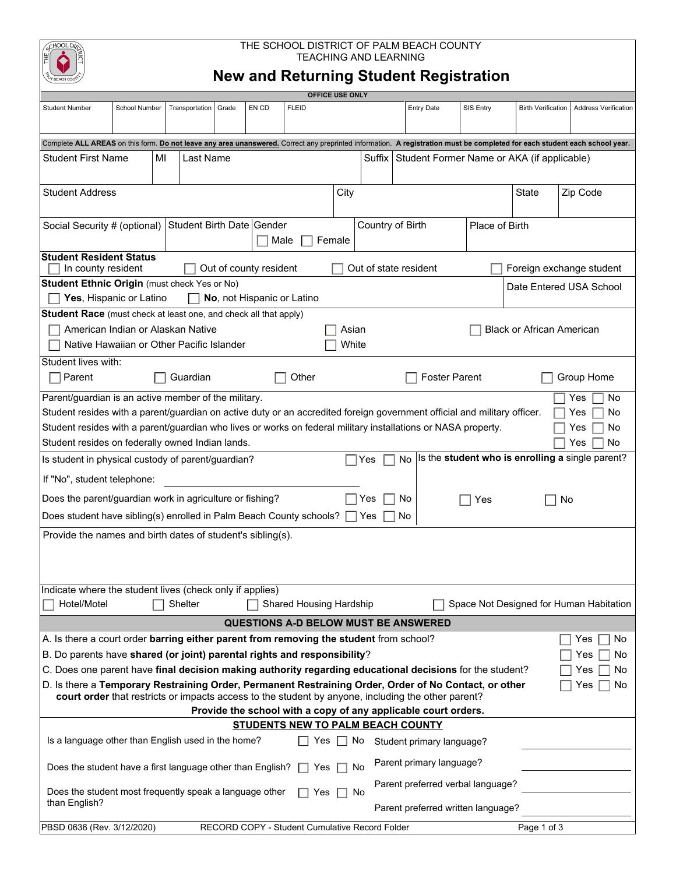

## THE SCHOOL DISTRICT OF PALM BEACH COUNTY TEACHING AND LEARNING

**New and Returning Student Registration**

| <b>OFFICE USE ONLY</b>                                                                                                                                                                                                                                                                                                                                                                                                                                                                                                                                                                                              |               |    |                |       |                        |                                                |                |                       |                 |                           |                                                                         |                                            |                                                                                                                                                                            |
|---------------------------------------------------------------------------------------------------------------------------------------------------------------------------------------------------------------------------------------------------------------------------------------------------------------------------------------------------------------------------------------------------------------------------------------------------------------------------------------------------------------------------------------------------------------------------------------------------------------------|---------------|----|----------------|-------|------------------------|------------------------------------------------|----------------|-----------------------|-----------------|---------------------------|-------------------------------------------------------------------------|--------------------------------------------|----------------------------------------------------------------------------------------------------------------------------------------------------------------------------|
| <b>Student Number</b>                                                                                                                                                                                                                                                                                                                                                                                                                                                                                                                                                                                               | School Number |    | Transportation | Grade | EN CD                  | <b>FLEID</b>                                   |                |                       |                 | <b>Entry Date</b>         | SIS Entry                                                               | <b>Birth Verification</b>                  | <b>Address Verification</b>                                                                                                                                                |
|                                                                                                                                                                                                                                                                                                                                                                                                                                                                                                                                                                                                                     |               |    |                |       |                        |                                                |                |                       |                 |                           |                                                                         |                                            | Complete ALL AREAS on this form. Do not leave any area unanswered. Correct any preprinted information. A registration must be completed for each student each school year. |
| <b>Student First Name</b>                                                                                                                                                                                                                                                                                                                                                                                                                                                                                                                                                                                           |               | MI | Last Name      |       |                        |                                                |                | Suffix                |                 |                           |                                                                         | Student Former Name or AKA (if applicable) |                                                                                                                                                                            |
|                                                                                                                                                                                                                                                                                                                                                                                                                                                                                                                                                                                                                     |               |    |                |       |                        |                                                |                |                       |                 |                           |                                                                         |                                            |                                                                                                                                                                            |
| <b>Student Address</b>                                                                                                                                                                                                                                                                                                                                                                                                                                                                                                                                                                                              |               |    |                |       |                        |                                                | City           |                       |                 |                           |                                                                         | State                                      | Zip Code                                                                                                                                                                   |
| Social Security # (optional) Student Birth Date Gender                                                                                                                                                                                                                                                                                                                                                                                                                                                                                                                                                              |               |    |                |       |                        | Male                                           | Female         | Country of Birth      |                 |                           | Place of Birth                                                          |                                            |                                                                                                                                                                            |
| <b>Student Resident Status</b><br>In county resident                                                                                                                                                                                                                                                                                                                                                                                                                                                                                                                                                                |               |    |                |       | Out of county resident |                                                |                | Out of state resident |                 |                           |                                                                         |                                            | Foreign exchange student                                                                                                                                                   |
| Student Ethnic Origin (must check Yes or No)                                                                                                                                                                                                                                                                                                                                                                                                                                                                                                                                                                        |               |    |                |       |                        |                                                |                |                       |                 |                           |                                                                         |                                            | Date Entered USA School                                                                                                                                                    |
| Yes, Hispanic or Latino                                                                                                                                                                                                                                                                                                                                                                                                                                                                                                                                                                                             |               |    |                |       |                        | No, not Hispanic or Latino                     |                |                       |                 |                           |                                                                         |                                            |                                                                                                                                                                            |
| <b>Student Race</b> (must check at least one, and check all that apply)<br>American Indian or Alaskan Native<br>Native Hawaiian or Other Pacific Islander                                                                                                                                                                                                                                                                                                                                                                                                                                                           |               |    |                |       |                        |                                                | Asian<br>White |                       |                 |                           |                                                                         | <b>Black or African American</b>           |                                                                                                                                                                            |
| Student lives with:<br>Parent                                                                                                                                                                                                                                                                                                                                                                                                                                                                                                                                                                                       |               |    | Guardian       |       |                        | Other                                          |                |                       |                 | <b>Foster Parent</b>      |                                                                         |                                            | Group Home                                                                                                                                                                 |
| Parent/guardian is an active member of the military.<br>Student resides with a parent/guardian on active duty or an accredited foreign government official and military officer.<br>Student resides with a parent/guardian who lives or works on federal military installations or NASA property.<br>Student resides on federally owned Indian lands.<br>Is student in physical custody of parent/guardian?<br>If "No", student telephone:<br>Does the parent/guardian work in agriculture or fishing?                                                                                                              |               |    |                |       |                        |                                                |                | Yes<br>Yes<br>Yes     | No<br>No<br>No. |                           | Yes                                                                     |                                            | No<br>Yes<br>No<br>Yes<br>Yes<br>No<br>Yes<br>No<br>Is the student who is enrolling a single parent?<br>No                                                                 |
| Does student have sibling(s) enrolled in Palm Beach County schools?<br>Provide the names and birth dates of student's sibling(s).<br>Indicate where the student lives (check only if applies)                                                                                                                                                                                                                                                                                                                                                                                                                       |               |    |                |       |                        |                                                |                |                       |                 |                           |                                                                         |                                            |                                                                                                                                                                            |
| Hotel/Motel                                                                                                                                                                                                                                                                                                                                                                                                                                                                                                                                                                                                         |               |    | Shelter        |       |                        | <b>Shared Housing Hardship</b>                 |                |                       |                 |                           |                                                                         |                                            | Space Not Designed for Human Habitation                                                                                                                                    |
|                                                                                                                                                                                                                                                                                                                                                                                                                                                                                                                                                                                                                     |               |    |                |       |                        | QUESTIONS A-D BELOW MUST BE ANSWERED           |                |                       |                 |                           |                                                                         |                                            |                                                                                                                                                                            |
| A. Is there a court order barring either parent from removing the student from school?<br>Yes<br>No<br>B. Do parents have shared (or joint) parental rights and responsibility?<br>Yes<br>No<br>C. Does one parent have final decision making authority regarding educational decisions for the student?<br>No<br>Yes<br>D. Is there a Temporary Restraining Order, Permanent Restraining Order, Order of No Contact, or other<br>Yes<br>No<br>court order that restricts or impacts access to the student by anyone, including the other parent?<br>Provide the school with a copy of any applicable court orders. |               |    |                |       |                        |                                                |                |                       |                 |                           |                                                                         |                                            |                                                                                                                                                                            |
| STUDENTS NEW TO PALM BEACH COUNTY                                                                                                                                                                                                                                                                                                                                                                                                                                                                                                                                                                                   |               |    |                |       |                        |                                                |                |                       |                 |                           |                                                                         |                                            |                                                                                                                                                                            |
| Is a language other than English used in the home?                                                                                                                                                                                                                                                                                                                                                                                                                                                                                                                                                                  |               |    |                |       |                        |                                                | Yes $\Box$ No  |                       |                 | Student primary language? |                                                                         |                                            |                                                                                                                                                                            |
| Does the student have a first language other than English?                                                                                                                                                                                                                                                                                                                                                                                                                                                                                                                                                          |               |    |                |       |                        | Yes                                            |                | No                    |                 | Parent primary language?  |                                                                         |                                            |                                                                                                                                                                            |
| Does the student most frequently speak a language other<br>than English?                                                                                                                                                                                                                                                                                                                                                                                                                                                                                                                                            |               |    |                |       |                        | Yes                                            |                | No                    |                 |                           | Parent preferred verbal language?<br>Parent preferred written language? |                                            |                                                                                                                                                                            |
| PBSD 0636 (Rev. 3/12/2020)                                                                                                                                                                                                                                                                                                                                                                                                                                                                                                                                                                                          |               |    |                |       |                        | RECORD COPY - Student Cumulative Record Folder |                |                       |                 |                           |                                                                         | Page 1 of 3                                |                                                                                                                                                                            |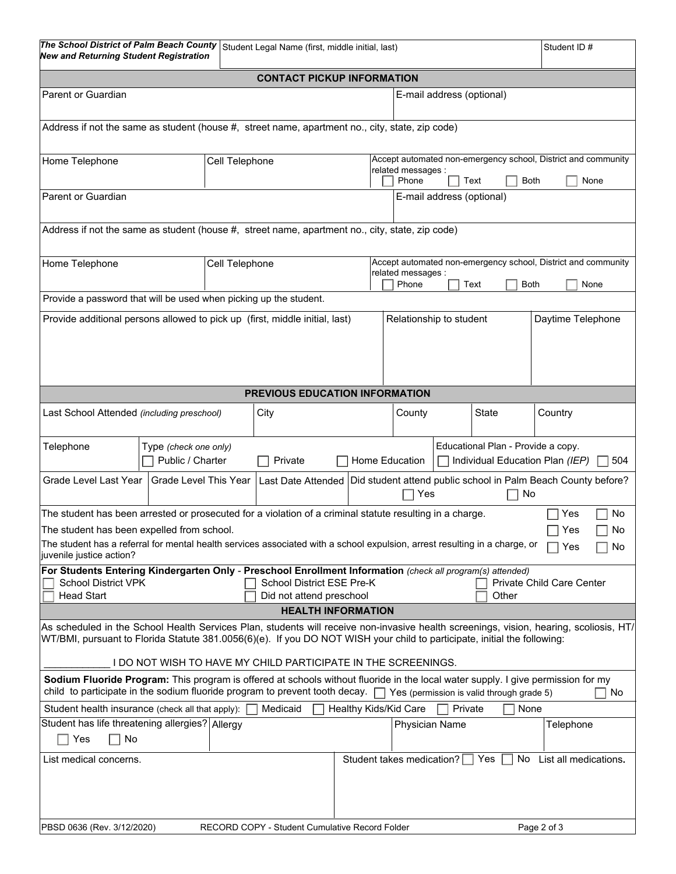| The School District of Palm Beach County<br>Student Legal Name (first, middle initial, last)<br><b>New and Returning Student Registration</b>                                                                                                                                                                                                                  |                                                                                                              |  |                                                                            |                           |                                                                                                                             | Student ID#                                                                                                                 |                                 |              |                                         |  |  |  |  |
|----------------------------------------------------------------------------------------------------------------------------------------------------------------------------------------------------------------------------------------------------------------------------------------------------------------------------------------------------------------|--------------------------------------------------------------------------------------------------------------|--|----------------------------------------------------------------------------|---------------------------|-----------------------------------------------------------------------------------------------------------------------------|-----------------------------------------------------------------------------------------------------------------------------|---------------------------------|--------------|-----------------------------------------|--|--|--|--|
| <b>CONTACT PICKUP INFORMATION</b>                                                                                                                                                                                                                                                                                                                              |                                                                                                              |  |                                                                            |                           |                                                                                                                             |                                                                                                                             |                                 |              |                                         |  |  |  |  |
| Parent or Guardian                                                                                                                                                                                                                                                                                                                                             | E-mail address (optional)                                                                                    |  |                                                                            |                           |                                                                                                                             |                                                                                                                             |                                 |              |                                         |  |  |  |  |
| Address if not the same as student (house #, street name, apartment no., city, state, zip code)                                                                                                                                                                                                                                                                |                                                                                                              |  |                                                                            |                           |                                                                                                                             |                                                                                                                             |                                 |              |                                         |  |  |  |  |
| Home Telephone<br>Cell Telephone                                                                                                                                                                                                                                                                                                                               |                                                                                                              |  |                                                                            |                           | Accept automated non-emergency school, District and community<br>related messages :<br>Phone<br><b>Both</b><br>None<br>Text |                                                                                                                             |                                 |              |                                         |  |  |  |  |
| Parent or Guardian                                                                                                                                                                                                                                                                                                                                             | E-mail address (optional)                                                                                    |  |                                                                            |                           |                                                                                                                             |                                                                                                                             |                                 |              |                                         |  |  |  |  |
| Address if not the same as student (house #, street name, apartment no., city, state, zip code)                                                                                                                                                                                                                                                                |                                                                                                              |  |                                                                            |                           |                                                                                                                             |                                                                                                                             |                                 |              |                                         |  |  |  |  |
| Home Telephone                                                                                                                                                                                                                                                                                                                                                 | Cell Telephone                                                                                               |  |                                                                            |                           |                                                                                                                             | Accept automated non-emergency school, District and community<br>related messages :<br>Phone<br><b>Both</b><br>None<br>Text |                                 |              |                                         |  |  |  |  |
| Provide a password that will be used when picking up the student.                                                                                                                                                                                                                                                                                              |                                                                                                              |  |                                                                            |                           |                                                                                                                             |                                                                                                                             |                                 |              |                                         |  |  |  |  |
| Provide additional persons allowed to pick up (first, middle initial, last)                                                                                                                                                                                                                                                                                    |                                                                                                              |  |                                                                            |                           |                                                                                                                             | Relationship to student                                                                                                     |                                 |              | Daytime Telephone                       |  |  |  |  |
|                                                                                                                                                                                                                                                                                                                                                                |                                                                                                              |  | PREVIOUS EDUCATION INFORMATION                                             |                           |                                                                                                                             |                                                                                                                             |                                 |              |                                         |  |  |  |  |
| Last School Attended (including preschool)                                                                                                                                                                                                                                                                                                                     |                                                                                                              |  | City                                                                       |                           |                                                                                                                             | County                                                                                                                      |                                 | <b>State</b> | Country                                 |  |  |  |  |
| Telephone                                                                                                                                                                                                                                                                                                                                                      | Educational Plan - Provide a copy.<br>Type (check one only)<br>Public / Charter<br>Private<br>Home Education |  |                                                                            |                           |                                                                                                                             |                                                                                                                             | Individual Education Plan (IEP) | 504          |                                         |  |  |  |  |
| Grade Level Last Year<br>Grade Level This Year<br>Last Date Attended                                                                                                                                                                                                                                                                                           |                                                                                                              |  | Did student attend public school in Palm Beach County before?<br>Yes<br>No |                           |                                                                                                                             |                                                                                                                             |                                 |              |                                         |  |  |  |  |
| The student has been arrested or prosecuted for a violation of a criminal statute resulting in a charge.<br>Yes<br>No<br>Yes<br>The student has been expelled from school.<br>No<br>The student has a referral for mental health services associated with a school expulsion, arrest resulting in a charge, or<br>$\Box$ Yes<br>No<br>juvenile justice action? |                                                                                                              |  |                                                                            |                           |                                                                                                                             |                                                                                                                             |                                 |              |                                         |  |  |  |  |
| For Students Entering Kindergarten Only - Preschool Enrollment Information (check all program(s) attended)<br>School District ESE Pre-K<br><b>School District VPK</b><br><b>Private Child Care Center</b><br><b>Head Start</b><br>Did not attend preschool<br>Other                                                                                            |                                                                                                              |  |                                                                            |                           |                                                                                                                             |                                                                                                                             |                                 |              |                                         |  |  |  |  |
| <b>HEALTH INFORMATION</b>                                                                                                                                                                                                                                                                                                                                      |                                                                                                              |  |                                                                            |                           |                                                                                                                             |                                                                                                                             |                                 |              |                                         |  |  |  |  |
| As scheduled in the School Health Services Plan, students will receive non-invasive health screenings, vision, hearing, scoliosis, HT/<br>WT/BMI, pursuant to Florida Statute 381.0056(6)(e). If you DO NOT WISH your child to participate, initial the following:                                                                                             |                                                                                                              |  |                                                                            |                           |                                                                                                                             |                                                                                                                             |                                 |              |                                         |  |  |  |  |
| I DO NOT WISH TO HAVE MY CHILD PARTICIPATE IN THE SCREENINGS.                                                                                                                                                                                                                                                                                                  |                                                                                                              |  |                                                                            |                           |                                                                                                                             |                                                                                                                             |                                 |              |                                         |  |  |  |  |
| Sodium Fluoride Program: This program is offered at schools without fluoride in the local water supply. I give permission for my<br>child to participate in the sodium fluoride program to prevent tooth decay.   Yes (permission is valid through grade 5)<br>No                                                                                              |                                                                                                              |  |                                                                            |                           |                                                                                                                             |                                                                                                                             |                                 |              |                                         |  |  |  |  |
| Student health insurance (check all that apply):                                                                                                                                                                                                                                                                                                               |                                                                                                              |  | Medicaid                                                                   | Healthy Kids/Kid Care     |                                                                                                                             |                                                                                                                             | Private                         | None         |                                         |  |  |  |  |
| Student has life threatening allergies? Allergy<br>Yes<br>No                                                                                                                                                                                                                                                                                                   |                                                                                                              |  |                                                                            |                           |                                                                                                                             | Physician Name                                                                                                              |                                 |              | Telephone                               |  |  |  |  |
| List medical concerns.<br>PBSD 0636 (Rev. 3/12/2020)                                                                                                                                                                                                                                                                                                           |                                                                                                              |  | RECORD COPY - Student Cumulative Record Folder                             | Student takes medication? |                                                                                                                             |                                                                                                                             |                                 | Yes          | No List all medications.<br>Page 2 of 3 |  |  |  |  |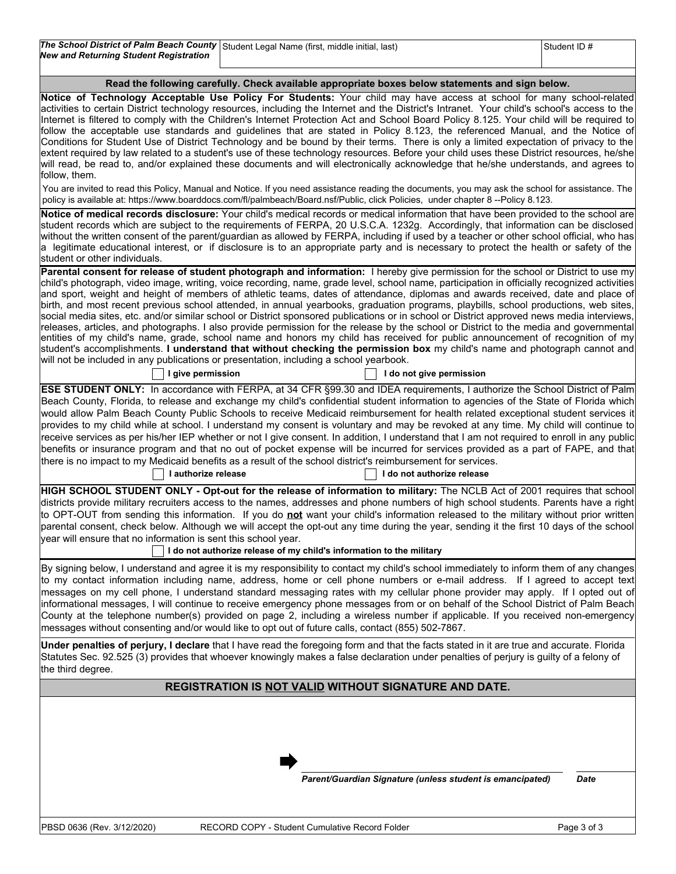|                                               | <sub>I</sub> The School District of Palm Beach County   Student Legal Name (first, middle initial, last) | Student ID # |
|-----------------------------------------------|----------------------------------------------------------------------------------------------------------|--------------|
| <b>New and Returning Student Registration</b> |                                                                                                          |              |

**Read the following carefully. Check available appropriate boxes below statements and sign below.** 

| Read the following carefully. Oneck available appropriate boxes below statements and sign below.                                                                                                                                                                                                                                                                                                                                                                                                                                                                                                                                                                                                                                                                                                                                                                                                                                                                                                                                                                                                                                                                                                                                                               |             |
|----------------------------------------------------------------------------------------------------------------------------------------------------------------------------------------------------------------------------------------------------------------------------------------------------------------------------------------------------------------------------------------------------------------------------------------------------------------------------------------------------------------------------------------------------------------------------------------------------------------------------------------------------------------------------------------------------------------------------------------------------------------------------------------------------------------------------------------------------------------------------------------------------------------------------------------------------------------------------------------------------------------------------------------------------------------------------------------------------------------------------------------------------------------------------------------------------------------------------------------------------------------|-------------|
| Notice of Technology Acceptable Use Policy For Students: Your child may have access at school for many school-related<br>activities to certain District technology resources, including the Internet and the District's Intranet. Your child's school's access to the<br>Internet is filtered to comply with the Children's Internet Protection Act and School Board Policy 8.125. Your child will be required to<br>follow the acceptable use standards and guidelines that are stated in Policy 8.123, the referenced Manual, and the Notice of<br>Conditions for Student Use of District Technology and be bound by their terms. There is only a limited expectation of privacy to the<br>extent required by law related to a student's use of these technology resources. Before your child uses these District resources, he/she<br>will read, be read to, and/or explained these documents and will electronically acknowledge that he/she understands, and agrees to<br>follow, them.                                                                                                                                                                                                                                                                   |             |
| You are invited to read this Policy, Manual and Notice. If you need assistance reading the documents, you may ask the school for assistance. The<br>policy is available at: https://www.boarddocs.com/fl/palmbeach/Board.nsf/Public, click Policies, under chapter 8 --Policy 8.123.                                                                                                                                                                                                                                                                                                                                                                                                                                                                                                                                                                                                                                                                                                                                                                                                                                                                                                                                                                           |             |
| Notice of medical records disclosure: Your child's medical records or medical information that have been provided to the school are<br>student records which are subject to the requirements of FERPA, 20 U.S.C.A. 1232g. Accordingly, that information can be disclosed<br>without the written consent of the parent/guardian as allowed by FERPA, including if used by a teacher or other school official, who has<br>a legitimate educational interest, or if disclosure is to an appropriate party and is necessary to protect the health or safety of the<br>student or other individuals.                                                                                                                                                                                                                                                                                                                                                                                                                                                                                                                                                                                                                                                                |             |
| Parental consent for release of student photograph and information: I hereby give permission for the school or District to use my<br>child's photograph, video image, writing, voice recording, name, grade level, school name, participation in officially recognized activities<br>and sport, weight and height of members of athletic teams, dates of attendance, diplomas and awards received, date and place of<br>birth, and most recent previous school attended, in annual yearbooks, graduation programs, playbills, school productions, web sites,<br>social media sites, etc. and/or similar school or District sponsored publications or in school or District approved news media interviews,<br>releases, articles, and photographs. I also provide permission for the release by the school or District to the media and governmental<br>entities of my child's name, grade, school name and honors my child has received for public announcement of recognition of my<br>student's accomplishments. I understand that without checking the permission box my child's name and photograph cannot and<br>will not be included in any publications or presentation, including a school yearbook.<br>I give permission<br>I do not give permission |             |
|                                                                                                                                                                                                                                                                                                                                                                                                                                                                                                                                                                                                                                                                                                                                                                                                                                                                                                                                                                                                                                                                                                                                                                                                                                                                |             |
| <b>ESE STUDENT ONLY:</b> In accordance with FERPA, at 34 CFR §99.30 and IDEA requirements, I authorize the School District of Palm<br>Beach County, Florida, to release and exchange my child's confidential student information to agencies of the State of Florida which<br>would allow Palm Beach County Public Schools to receive Medicaid reimbursement for health related exceptional student services it<br>provides to my child while at school. I understand my consent is voluntary and may be revoked at any time. My child will continue to<br>receive services as per his/her IEP whether or not I give consent. In addition, I understand that I am not required to enroll in any public<br>benefits or insurance program and that no out of pocket expense will be incurred for services provided as a part of FAPE, and that<br>there is no impact to my Medicaid benefits as a result of the school district's reimbursement for services.<br>I authorize release<br>I do not authorize release                                                                                                                                                                                                                                               |             |
|                                                                                                                                                                                                                                                                                                                                                                                                                                                                                                                                                                                                                                                                                                                                                                                                                                                                                                                                                                                                                                                                                                                                                                                                                                                                |             |
| HIGH SCHOOL STUDENT ONLY - Opt-out for the release of information to military: The NCLB Act of 2001 requires that school<br>districts provide military recruiters access to the names, addresses and phone numbers of high school students. Parents have a right<br>to OPT-OUT from sending this information. If you do not want your child's information released to the military without prior written<br>parental consent, check below. Although we will accept the opt-out any time during the year, sending it the first 10 days of the school<br>year will ensure that no information is sent this school year.<br>I do not authorize release of my child's information to the military                                                                                                                                                                                                                                                                                                                                                                                                                                                                                                                                                                  |             |
| $\vert$ By signing below, I understand and agree it is my responsibility to contact my child's school immediately to inform them of any changes<br>to my contact information including name, address, home or cell phone numbers or e-mail address. If I agreed to accept text<br>messages on my cell phone, I understand standard messaging rates with my cellular phone provider may apply. If I opted out of<br>informational messages, I will continue to receive emergency phone messages from or on behalf of the School District of Palm Beach<br>County at the telephone number(s) provided on page 2, including a wireless number if applicable. If you received non-emergency<br>messages without consenting and/or would like to opt out of future calls, contact (855) 502-7867.                                                                                                                                                                                                                                                                                                                                                                                                                                                                   |             |
| Under penalties of perjury, I declare that I have read the foregoing form and that the facts stated in it are true and accurate. Florida<br>Statutes Sec. 92.525 (3) provides that whoever knowingly makes a false declaration under penalties of perjury is guilty of a felony of<br>the third degree.                                                                                                                                                                                                                                                                                                                                                                                                                                                                                                                                                                                                                                                                                                                                                                                                                                                                                                                                                        |             |
| REGISTRATION IS NOT VALID WITHOUT SIGNATURE AND DATE.                                                                                                                                                                                                                                                                                                                                                                                                                                                                                                                                                                                                                                                                                                                                                                                                                                                                                                                                                                                                                                                                                                                                                                                                          |             |
|                                                                                                                                                                                                                                                                                                                                                                                                                                                                                                                                                                                                                                                                                                                                                                                                                                                                                                                                                                                                                                                                                                                                                                                                                                                                |             |
| Parent/Guardian Signature (unless student is emancipated)                                                                                                                                                                                                                                                                                                                                                                                                                                                                                                                                                                                                                                                                                                                                                                                                                                                                                                                                                                                                                                                                                                                                                                                                      | <b>Date</b> |
| PBSD 0636 (Rev. 3/12/2020)<br>RECORD COPY - Student Cumulative Record Folder                                                                                                                                                                                                                                                                                                                                                                                                                                                                                                                                                                                                                                                                                                                                                                                                                                                                                                                                                                                                                                                                                                                                                                                   | Page 3 of 3 |